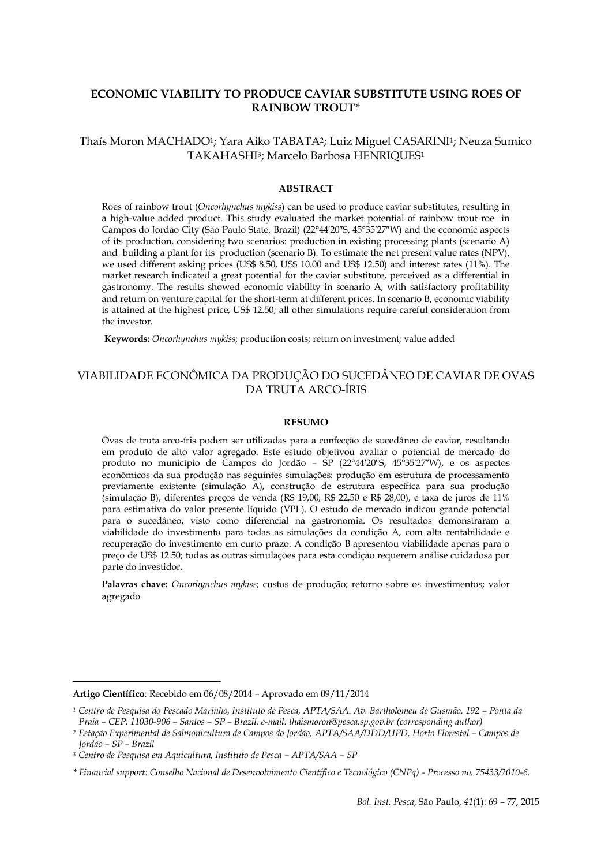# **ECONOMIC VIABILITY TO PRODUCE CAVIAR SUBSTITUTE USING ROES OF RAINBOW TROUT\***

Thaís Moron MACHADO1; Yara Aiko TABATA2; Luiz Miguel CASARINI1; Neuza Sumico TAKAHASHI3; Marcelo Barbosa HENRIQUES<sup>1</sup>

#### **ABSTRACT**

Roes of rainbow trout (*Oncorhynchus mykiss*) can be used to produce caviar substitutes, resulting in a high-value added product. This study evaluated the market potential of rainbow trout roe in Campos do Jordão City (São Paulo State, Brazil) (22°44′20″S, 45°35′27″W) and the economic aspects of its production, considering two scenarios: production in existing processing plants (scenario A) and building a plant for its production (scenario B). To estimate the net present value rates (NPV), we used different asking prices (US\$ 8.50, US\$ 10.00 and US\$ 12.50) and interest rates (11%). The market research indicated a great potential for the caviar substitute, perceived as a differential in gastronomy. The results showed economic viability in scenario A, with satisfactory profitability and return on venture capital for the short-term at different prices. In scenario B, economic viability is attained at the highest price, US\$ 12.50; all other simulations require careful consideration from the investor.

**Keywords:** *Oncorhynchus mykiss*; production costs; return on investment; value added

# VIABILIDADE ECONÔMICA DA PRODUÇÃO DO SUCEDÂNEO DE CAVIAR DE OVAS DA TRUTA ARCO-ÍRIS

#### **RESUMO**

Ovas de truta arco-íris podem ser utilizadas para a confecção de sucedâneo de caviar, resultando em produto de alto valor agregado. Este estudo objetivou avaliar o potencial de mercado do produto no município de Campos do Jordão – SP (22°44′20″S, 45°35′27″W), e os aspectos econômicos da sua produção nas seguintes simulações: produção em estrutura de processamento previamente existente (simulação A), construção de estrutura específica para sua produção (simulação B), diferentes preços de venda (R\$ 19,00; R\$ 22,50 e R\$ 28,00), e taxa de juros de 11% para estimativa do valor presente líquido (VPL). O estudo de mercado indicou grande potencial para o sucedâneo, visto como diferencial na gastronomia. Os resultados demonstraram a viabilidade do investimento para todas as simulações da condição A, com alta rentabilidade e recuperação do investimento em curto prazo. A condição B apresentou viabilidade apenas para o preço de US\$ 12.50; todas as outras simulações para esta condição requerem análise cuidadosa por parte do investidor.

**Palavras chave:** *Oncorhynchus mykiss*; custos de produção; retorno sobre os investimentos; valor agregado

<u>.</u>

**Artigo Científico**: Recebido em 06/08/2014 – Aprovado em 09/11/2014

*<sup>1</sup> Centro de Pesquisa do Pescado Marinho, Instituto de Pesca, APTA/SAA. Av. Bartholomeu de Gusmão, 192 – Ponta da Praia – CEP: 11030-906 – Santos – SP – Brazil. e-mail: thaismoron@pesca.sp.gov.br (corresponding author)*

*<sup>2</sup> Estação Experimental de Salmonicultura de Campos do Jordão, APTA/SAA/DDD/UPD. Horto Florestal – Campos de Jordão – SP – Brazil*

*<sup>3</sup> Centro de Pesquisa em Aquicultura, Instituto de Pesca – APTA/SAA – SP*

*<sup>\*</sup> Financial support: Conselho Nacional de Desenvolvimento Científico e Tecnológico (CNPq) - Processo no. 75433/2010-6.*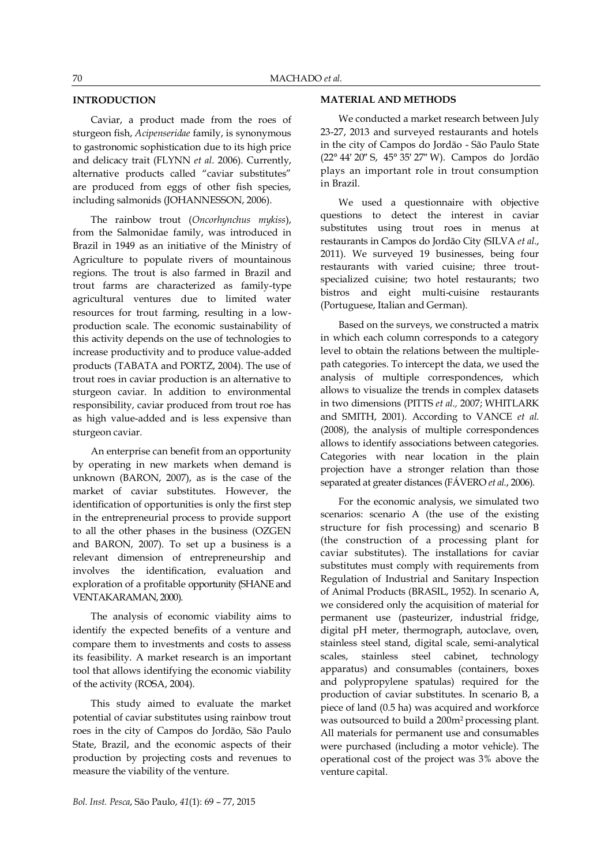### **INTRODUCTION**

Caviar, a product made from the roes of sturgeon fish, *Acipenseridae* family, is synonymous to gastronomic sophistication due to its high price and delicacy trait (FLYNN *et al*. 2006). Currently, alternative products called "caviar substitutes" are produced from eggs of other fish species, including salmonids (JOHANNESSON, 2006).

The rainbow trout (*Oncorhynchus mykiss*), from the Salmonidae family, was introduced in Brazil in 1949 as an initiative of the Ministry of Agriculture to populate rivers of mountainous regions. The trout is also farmed in Brazil and trout farms are characterized as family-type agricultural ventures due to limited water resources for trout farming, resulting in a lowproduction scale. The economic sustainability of this activity depends on the use of technologies to increase productivity and to produce value-added products (TABATA and PORTZ, 2004). The use of trout roes in caviar production is an alternative to sturgeon caviar. In addition to environmental responsibility, caviar produced from trout roe has as high value-added and is less expensive than sturgeon caviar.

An enterprise can benefit from an opportunity by operating in new markets when demand is unknown (BARON, 2007), as is the case of the market of caviar substitutes. However, the identification of opportunities is only the first step in the entrepreneurial process to provide support to all the other phases in the business (OZGEN and BARON, 2007). To set up a business is a relevant dimension of entrepreneurship and involves the identification, evaluation and exploration of a profitable opportunity (SHANE and VENTAKARAMAN, 2000).

The analysis of economic viability aims to identify the expected benefits of a venture and compare them to investments and costs to assess its feasibility. A market research is an important tool that allows identifying the economic viability of the activity (ROSA, 2004).

This study aimed to evaluate the market potential of caviar substitutes using rainbow trout roes in the city of Campos do Jordão, São Paulo State, Brazil, and the economic aspects of their production by projecting costs and revenues to measure the viability of the venture.

### **MATERIAL AND METHODS**

We conducted a market research between July 23-27, 2013 and surveyed restaurants and hotels in the city of Campos do Jordão - São Paulo State (22° 44′ 20″ S, 45° 35′ 27″ W). Campos do Jordão plays an important role in trout consumption in Brazil.

We used a questionnaire with objective questions to detect the interest in caviar substitutes using trout roes in menus at restaurants in Campos do Jordão City (SILVA *et al.*, 2011). We surveyed 19 businesses, being four restaurants with varied cuisine; three troutspecialized cuisine; two hotel restaurants; two bistros and eight multi-cuisine restaurants (Portuguese, Italian and German).

Based on the surveys, we constructed a matrix in which each column corresponds to a category level to obtain the relations between the multiplepath categories. To intercept the data, we used the analysis of multiple correspondences, which allows to visualize the trends in complex datasets in two dimensions (PITTS *et al.,* 2007; WHITLARK and SMITH, 2001). According to VANCE *et al.* (2008), the analysis of multiple correspondences allows to identify associations between categories. Categories with near location in the plain projection have a stronger relation than those separated at greater distances (FÁVERO *et al.*, 2006).

For the economic analysis, we simulated two scenarios: scenario A (the use of the existing structure for fish processing) and scenario B (the construction of a processing plant for caviar substitutes). The installations for caviar substitutes must comply with requirements from Regulation of Industrial and Sanitary Inspection of Animal Products (BRASIL, 1952). In scenario A, we considered only the acquisition of material for permanent use (pasteurizer, industrial fridge, digital pH meter, thermograph, autoclave, oven, stainless steel stand, digital scale, semi-analytical scales, stainless steel cabinet, technology apparatus) and consumables (containers, boxes and polypropylene spatulas) required for the production of caviar substitutes. In scenario B, a piece of land (0.5 ha) was acquired and workforce was outsourced to build a 200m2 processing plant. All materials for permanent use and consumables were purchased (including a motor vehicle). The operational cost of the project was 3% above the venture capital.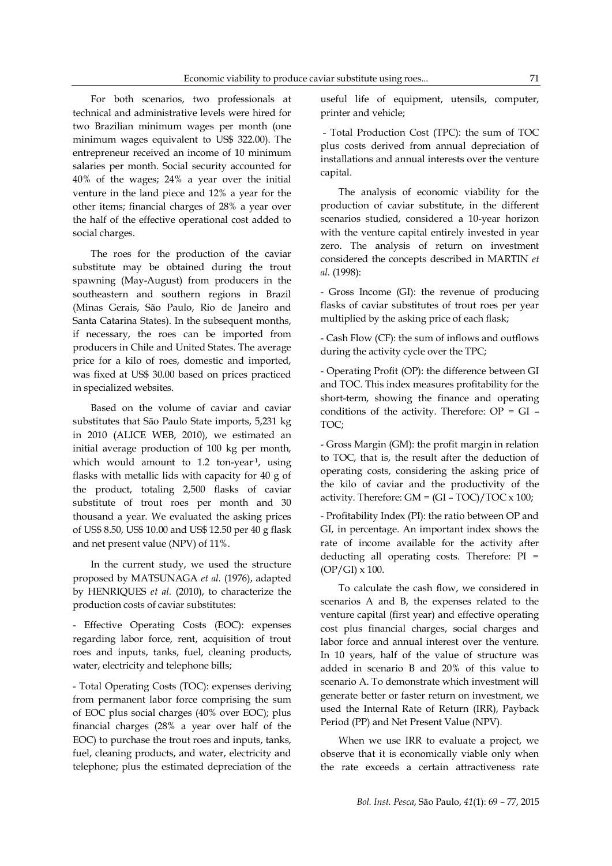For both scenarios, two professionals at technical and administrative levels were hired for two Brazilian minimum wages per month (one minimum wages equivalent to US\$ 322.00). The entrepreneur received an income of 10 minimum salaries per month. Social security accounted for 40% of the wages; 24% a year over the initial venture in the land piece and 12% a year for the other items; financial charges of 28% a year over the half of the effective operational cost added to social charges.

The roes for the production of the caviar substitute may be obtained during the trout spawning (May-August) from producers in the southeastern and southern regions in Brazil (Minas Gerais, São Paulo, Rio de Janeiro and Santa Catarina States). In the subsequent months, if necessary, the roes can be imported from producers in Chile and United States. The average price for a kilo of roes, domestic and imported, was fixed at US\$ 30.00 based on prices practiced in specialized websites.

Based on the volume of caviar and caviar substitutes that São Paulo State imports, 5,231 kg in 2010 (ALICE WEB, 2010), we estimated an initial average production of 100 kg per month, which would amount to 1.2 ton-year<sup>-1</sup>, using flasks with metallic lids with capacity for 40 g of the product, totaling 2,500 flasks of caviar substitute of trout roes per month and 30 thousand a year. We evaluated the asking prices of US\$ 8.50, US\$ 10.00 and US\$ 12.50 per 40 g flask and net present value (NPV) of 11%.

In the current study, we used the structure proposed by MATSUNAGA *et al.* (1976), adapted by HENRIQUES *et al.* (2010), to characterize the production costs of caviar substitutes:

- Effective Operating Costs (EOC): expenses regarding labor force, rent, acquisition of trout roes and inputs, tanks, fuel, cleaning products, water, electricity and telephone bills;

- Total Operating Costs (TOC): expenses deriving from permanent labor force comprising the sum of EOC plus social charges (40% over EOC); plus financial charges (28% a year over half of the EOC) to purchase the trout roes and inputs, tanks, fuel, cleaning products, and water, electricity and telephone; plus the estimated depreciation of the useful life of equipment, utensils, computer, printer and vehicle;

- Total Production Cost (TPC): the sum of TOC plus costs derived from annual depreciation of installations and annual interests over the venture capital.

The analysis of economic viability for the production of caviar substitute, in the different scenarios studied, considered a 10-year horizon with the venture capital entirely invested in year zero. The analysis of return on investment considered the concepts described in MARTIN *et al.* (1998):

- Gross Income (GI): the revenue of producing flasks of caviar substitutes of trout roes per year multiplied by the asking price of each flask;

- Cash Flow (CF): the sum of inflows and outflows during the activity cycle over the TPC;

- Operating Profit (OP): the difference between GI and TOC. This index measures profitability for the short-term, showing the finance and operating conditions of the activity. Therefore:  $OP = GI -$ TOC;

- Gross Margin (GM): the profit margin in relation to TOC, that is, the result after the deduction of operating costs, considering the asking price of the kilo of caviar and the productivity of the activity. Therefore:  $GM = (GI - TOC)/TOC \times 100;$ 

- Profitability Index (PI): the ratio between OP and GI, in percentage. An important index shows the rate of income available for the activity after deducting all operating costs. Therefore: PI = (OP/GI) x 100.

To calculate the cash flow, we considered in scenarios A and B, the expenses related to the venture capital (first year) and effective operating cost plus financial charges, social charges and labor force and annual interest over the venture. In 10 years, half of the value of structure was added in scenario B and 20% of this value to scenario A. To demonstrate which investment will generate better or faster return on investment, we used the Internal Rate of Return (IRR), Payback Period (PP) and Net Present Value (NPV).

When we use IRR to evaluate a project, we observe that it is economically viable only when the rate exceeds a certain attractiveness rate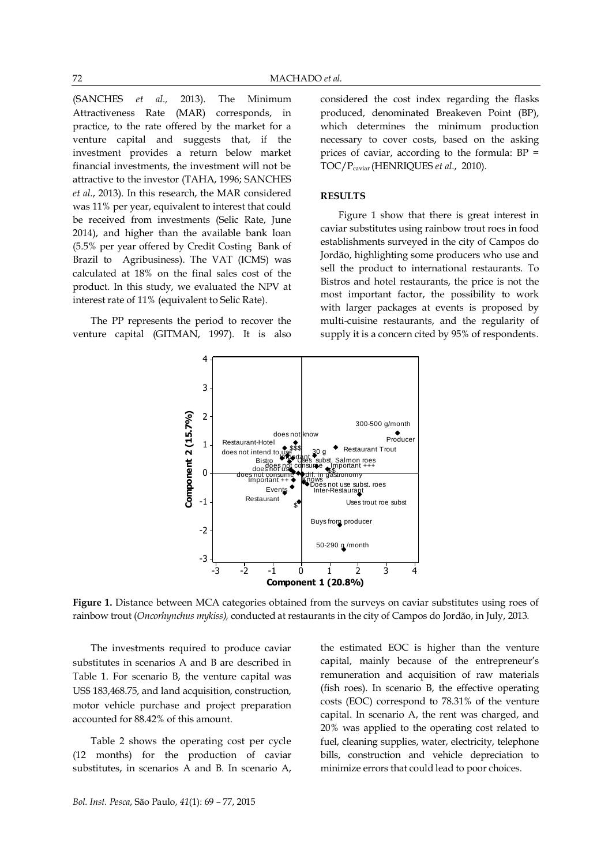(SANCHES *et al.,* 2013). The Minimum Attractiveness Rate (MAR) corresponds, in practice, to the rate offered by the market for a venture capital and suggests that, if the investment provides a return below market financial investments, the investment will not be attractive to the investor (TAHA, 1996; SANCHES *et al.*, 2013). In this research, the MAR considered was 11% per year, equivalent to interest that could be received from investments (Selic Rate, June 2014), and higher than the available bank loan (5.5% per year offered by Credit Costing Bank of Brazil to Agribusiness). The VAT (ICMS) was calculated at 18% on the final sales cost of the product. In this study, we evaluated the NPV at interest rate of 11% (equivalent to Selic Rate).

The PP represents the period to recover the venture capital (GITMAN, 1997). It is also considered the cost index regarding the flasks produced, denominated Breakeven Point (BP), which determines the minimum production necessary to cover costs, based on the asking prices of caviar, according to the formula: BP = TOC/Pcaviar (HENRIQUES *et al.*, 2010).

#### **RESULTS**

Figure 1 show that there is great interest in caviar substitutes using rainbow trout roes in food establishments surveyed in the city of Campos do Jordão, highlighting some producers who use and sell the product to international restaurants. To Bistros and hotel restaurants, the price is not the most important factor, the possibility to work with larger packages at events is proposed by multi-cuisine restaurants, and the regularity of supply it is a concern cited by 95% of respondents.



**Figure 1.** Distance between MCA categories obtained from the surveys on caviar substitutes using roes of rainbow trout (*Oncorhynchus mykiss),* conducted at restaurants in the city of Campos do Jordão, in July, 2013*.*

The investments required to produce caviar substitutes in scenarios A and B are described in Table 1. For scenario B, the venture capital was US\$ 183,468.75, and land acquisition, construction, motor vehicle purchase and project preparation accounted for 88.42% of this amount.

Table 2 shows the operating cost per cycle (12 months) for the production of caviar substitutes, in scenarios A and B. In scenario A,

the estimated EOC is higher than the venture capital, mainly because of the entrepreneur's remuneration and acquisition of raw materials (fish roes). In scenario B, the effective operating costs (EOC) correspond to 78.31% of the venture capital. In scenario A, the rent was charged, and 20% was applied to the operating cost related to fuel, cleaning supplies, water, electricity, telephone bills, construction and vehicle depreciation to minimize errors that could lead to poor choices.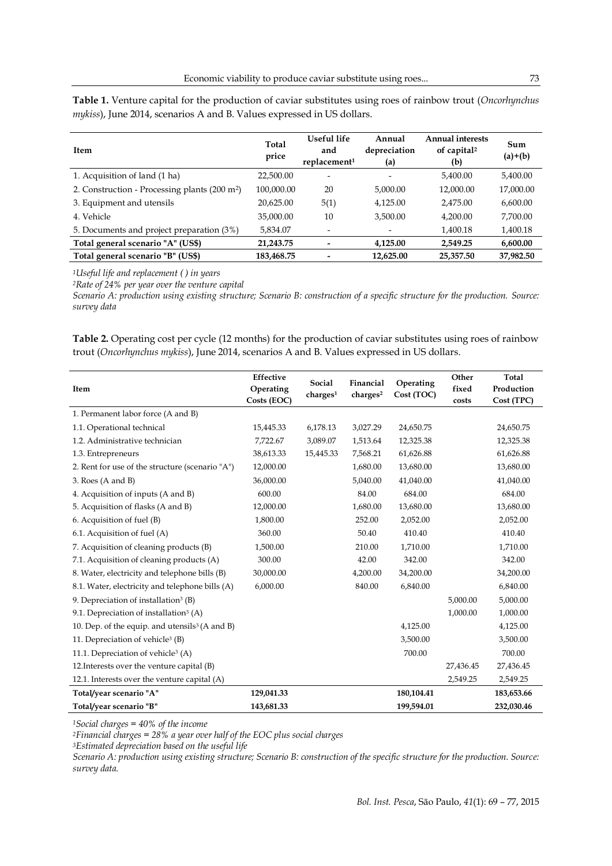| Item                                                      | Total<br>price | Useful life<br>and<br>replacement <sup>1</sup> | Annual<br>depreciation<br>(a) | <b>Annual interests</b><br>of capital <sup>2</sup><br>(b) | Sum<br>$(a)+(b)$ |
|-----------------------------------------------------------|----------------|------------------------------------------------|-------------------------------|-----------------------------------------------------------|------------------|
| 1. Acquisition of land (1 ha)                             | 22,500.00      | $\overline{\phantom{0}}$                       | -                             | 5,400.00                                                  | 5,400.00         |
| 2. Construction - Processing plants (200 m <sup>2</sup> ) | 100,000.00     | 20                                             | 5,000.00                      | 12,000.00                                                 | 17,000.00        |
| 3. Equipment and utensils                                 | 20,625.00      | 5(1)                                           | 4,125.00                      | 2,475.00                                                  | 6,600.00         |
| 4. Vehicle                                                | 35,000.00      | 10                                             | 3,500.00                      | 4,200.00                                                  | 7,700.00         |
| 5. Documents and project preparation (3%)                 | 5,834.07       |                                                |                               | 1,400.18                                                  | 1,400.18         |
| Total general scenario "A" (US\$)                         | 21,243.75      |                                                | 4,125.00                      | 2,549.25                                                  | 6,600.00         |
| Total general scenario "B" (US\$)                         | 183,468.75     |                                                | 12,625.00                     | 25,357.50                                                 | 37,982.50        |

**Table 1.** Venture capital for the production of caviar substitutes using roes of rainbow trout (*Oncorhynchus mykiss*), June 2014, scenarios A and B. Values expressed in US dollars.

*<sup>1</sup>Useful life and replacement ( ) in years*

*<sup>2</sup>Rate of 24% per year over the venture capital*

*Scenario A: production using existing structure; Scenario B: construction of a specific structure for the production. Source: survey data*

**Table 2.** Operating cost per cycle (12 months) for the production of caviar substitutes using roes of rainbow trout (*Oncorhynchus mykiss*), June 2014, scenarios A and B. Values expressed in US dollars.

| Item                                                       | Effective<br>Operating<br>Costs (EOC) | Social<br>charge <sup>1</sup> | Financial<br>charges <sup>2</sup> | Operating<br>Cost (TOC) | Other<br>fixed<br>costs | <b>Total</b><br>Production<br>Cost (TPC) |
|------------------------------------------------------------|---------------------------------------|-------------------------------|-----------------------------------|-------------------------|-------------------------|------------------------------------------|
| 1. Permanent labor force (A and B)                         |                                       |                               |                                   |                         |                         |                                          |
| 1.1. Operational technical                                 | 15,445.33                             | 6,178.13                      | 3,027.29                          | 24,650.75               |                         | 24,650.75                                |
| 1.2. Administrative technician                             | 7,722.67                              | 3,089.07                      | 1,513.64                          | 12,325.38               |                         | 12,325.38                                |
| 1.3. Entrepreneurs                                         | 38,613.33                             | 15,445.33                     | 7,568.21                          | 61,626.88               |                         | 61,626.88                                |
| 2. Rent for use of the structure (scenario "A")            | 12,000.00                             |                               | 1,680.00                          | 13,680.00               |                         | 13,680.00                                |
| 3. Roes (A and B)                                          | 36,000.00                             |                               | 5,040.00                          | 41,040.00               |                         | 41,040.00                                |
| 4. Acquisition of inputs (A and B)                         | 600.00                                |                               | 84.00                             | 684.00                  |                         | 684.00                                   |
| 5. Acquisition of flasks (A and B)                         | 12,000.00                             |                               | 1,680.00                          | 13,680.00               |                         | 13,680.00                                |
| 6. Acquisition of fuel (B)                                 | 1,800.00                              |                               | 252.00                            | 2,052.00                |                         | 2,052.00                                 |
| 6.1. Acquisition of fuel (A)                               | 360.00                                |                               | 50.40                             | 410.40                  |                         | 410.40                                   |
| 7. Acquisition of cleaning products (B)                    | 1,500.00                              |                               | 210.00                            | 1,710.00                |                         | 1,710.00                                 |
| 7.1. Acquisition of cleaning products (A)                  | 300.00                                |                               | 42.00                             | 342.00                  |                         | 342.00                                   |
| 8. Water, electricity and telephone bills (B)              | 30,000.00                             |                               | 4,200.00                          | 34,200.00               |                         | 34,200.00                                |
| 8.1. Water, electricity and telephone bills (A)            | 6,000.00                              |                               | 840.00                            | 6,840.00                |                         | 6,840.00                                 |
| 9. Depreciation of installation <sup>3</sup> (B)           |                                       |                               |                                   |                         | 5,000.00                | 5,000.00                                 |
| 9.1. Depreciation of installation <sup>3</sup> (A)         |                                       |                               |                                   |                         | 1,000.00                | 1,000.00                                 |
| 10. Dep. of the equip. and utensils <sup>3</sup> (A and B) |                                       |                               |                                   | 4,125.00                |                         | 4,125.00                                 |
| 11. Depreciation of vehicle <sup>3</sup> (B)               |                                       |                               |                                   | 3,500.00                |                         | 3,500.00                                 |
| 11.1. Depreciation of vehicle <sup>3</sup> (A)             |                                       |                               |                                   | 700.00                  |                         | 700.00                                   |
| 12. Interests over the venture capital (B)                 |                                       |                               |                                   |                         | 27,436.45               | 27,436.45                                |
| 12.1. Interests over the venture capital (A)               |                                       |                               |                                   |                         | 2,549.25                | 2,549.25                                 |
| Total/year scenario "A"                                    | 129,041.33                            |                               |                                   | 180,104.41              |                         | 183,653.66                               |
| Total/vear scenario "B"                                    | 143,681.33                            |                               |                                   | 199,594.01              |                         | 232,030.46                               |

*<sup>1</sup>Social charges = 40% of the income* 

*<sup>2</sup>Financial charges = 28% a year over half of the EOC plus social charges* 

*<sup>3</sup>Estimated depreciation based on the useful life* 

*Scenario A: production using existing structure; Scenario B: construction of the specific structure for the production. Source: survey data.*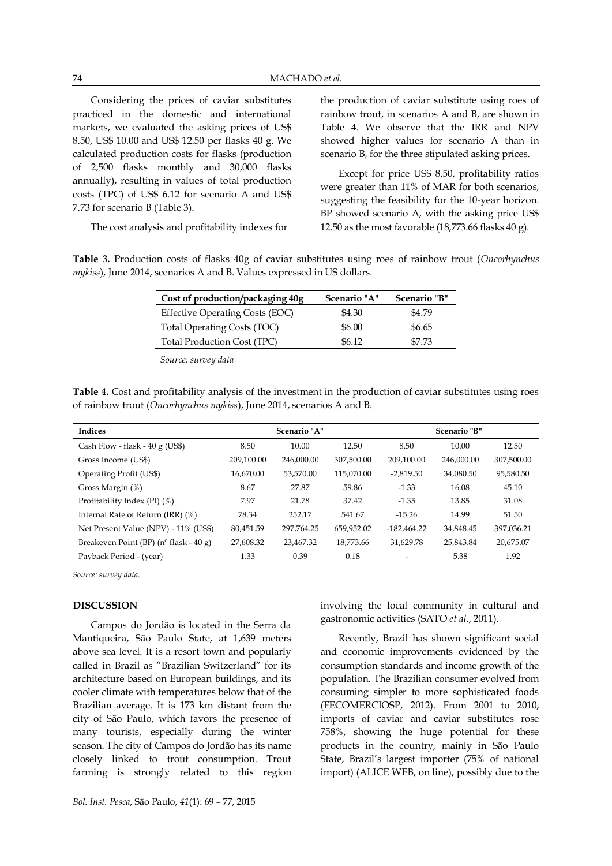Considering the prices of caviar substitutes practiced in the domestic and international markets, we evaluated the asking prices of US\$ 8.50, US\$ 10.00 and US\$ 12.50 per flasks 40 g. We calculated production costs for flasks (production of 2,500 flasks monthly and 30,000 flasks annually), resulting in values of total production costs (TPC) of US\$ 6.12 for scenario A and US\$ 7.73 for scenario B (Table 3).

The cost analysis and profitability indexes for

the production of caviar substitute using roes of rainbow trout, in scenarios A and B, are shown in Table 4. We observe that the IRR and NPV showed higher values for scenario A than in scenario B, for the three stipulated asking prices.

Except for price US\$ 8.50, profitability ratios were greater than 11% of MAR for both scenarios, suggesting the feasibility for the 10-year horizon. BP showed scenario A, with the asking price US\$ 12.50 as the most favorable (18,773.66 flasks 40 g).

**Table 3.** Production costs of flasks 40g of caviar substitutes using roes of rainbow trout (*Oncorhynchus mykiss*), June 2014, scenarios A and B. Values expressed in US dollars.

| Cost of production/packaging 40g       | Scenario "A" | Scenario "B" |
|----------------------------------------|--------------|--------------|
| <b>Effective Operating Costs (EOC)</b> | \$4.30       | \$4.79       |
| Total Operating Costs (TOC)            | \$6.00       | \$6.65       |
| <b>Total Production Cost (TPC)</b>     | \$6.12       | \$7.73       |

*Source: survey data*

**Table 4.** Cost and profitability analysis of the investment in the production of caviar substitutes using roes of rainbow trout (*Oncorhynchus mykiss*), June 2014, scenarios A and B.

| <b>Indices</b>                                   |            | Scenario "A" |            |               | <b>Scenario "B"</b> |            |
|--------------------------------------------------|------------|--------------|------------|---------------|---------------------|------------|
| Cash Flow - flask - $40 g$ (US\$)                | 8.50       | 10.00        | 12.50      | 8.50          | 10.00               | 12.50      |
| Gross Income (US\$)                              | 209,100.00 | 246,000.00   | 307,500.00 | 209,100.00    | 246,000.00          | 307,500.00 |
| Operating Profit (US\$)                          | 16,670.00  | 53,570.00    | 115,070.00 | $-2.819.50$   | 34,080.50           | 95,580.50  |
| Gross Margin (%)                                 | 8.67       | 27.87        | 59.86      | $-1.33$       | 16.08               | 45.10      |
| Profitability Index (PI) (%)                     | 7.97       | 21.78        | 37.42      | $-1.35$       | 13.85               | 31.08      |
| Internal Rate of Return (IRR) (%)                | 78.34      | 252.17       | 541.67     | $-15.26$      | 14.99               | 51.50      |
| Net Present Value (NPV) - 11% (US\$)             | 80,451.59  | 297.764.25   | 659,952.02 | $-182.464.22$ | 34,848.45           | 397,036.21 |
| Breakeven Point (BP) ( $n^{\circ}$ flask - 40 g) | 27,608.32  | 23,467.32    | 18.773.66  | 31,629.78     | 25,843.84           | 20,675.07  |
| Payback Period - (year)                          | 1.33       | 0.39         | 0.18       |               | 5.38                | 1.92       |

*Source: survey data.*

#### **DISCUSSION**

Campos do Jordão is located in the Serra da Mantiqueira, São Paulo State, at 1,639 meters above sea level. It is a resort town and popularly called in Brazil as "Brazilian Switzerland" for its architecture based on European buildings, and its cooler climate with temperatures below that of the Brazilian average. It is 173 km distant from the city of São Paulo, which favors the presence of many tourists, especially during the winter season. The city of Campos do Jordão has its name closely linked to trout consumption. Trout farming is strongly related to this region involving the local community in cultural and gastronomic activities (SATO *et al.*, 2011).

Recently, Brazil has shown significant social and economic improvements evidenced by the consumption standards and income growth of the population. The Brazilian consumer evolved from consuming simpler to more sophisticated foods (FECOMERCIOSP, 2012). From 2001 to 2010, imports of caviar and caviar substitutes rose 758%, showing the huge potential for these products in the country, mainly in São Paulo State, Brazil's largest importer (75% of national import) (ALICE WEB, on line), possibly due to the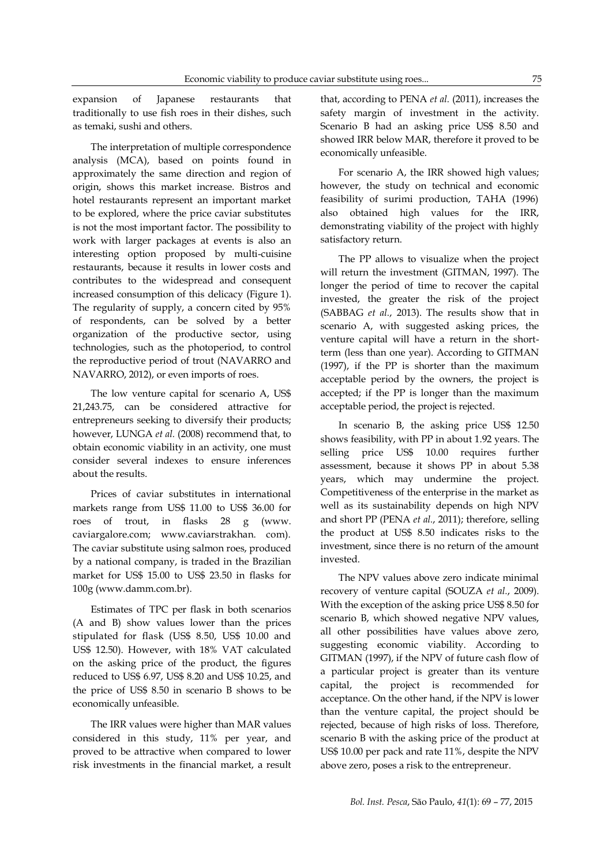expansion of Japanese restaurants that traditionally to use fish roes in their dishes, such as temaki, sushi and others.

The interpretation of multiple correspondence analysis (MCA), based on points found in approximately the same direction and region of origin, shows this market increase. Bistros and hotel restaurants represent an important market to be explored, where the price caviar substitutes is not the most important factor. The possibility to work with larger packages at events is also an interesting option proposed by multi-cuisine restaurants, because it results in lower costs and contributes to the widespread and consequent increased consumption of this delicacy (Figure 1). The regularity of supply, a concern cited by 95% of respondents, can be solved by a better organization of the productive sector, using technologies, such as the photoperiod, to control the reproductive period of trout (NAVARRO and NAVARRO, 2012), or even imports of roes.

The low venture capital for scenario A, US\$ 21,243.75, can be considered attractive for entrepreneurs seeking to diversify their products; however, LUNGA *et al.* (2008) recommend that, to obtain economic viability in an activity, one must consider several indexes to ensure inferences about the results.

Prices of caviar substitutes in international markets range from US\$ 11.00 to US\$ 36.00 for roes of trout, in flasks 28 g (www. caviargalore.com; www.caviarstrakhan. com). The caviar substitute using salmon roes, produced by a national company, is traded in the Brazilian market for US\$ 15.00 to US\$ 23.50 in flasks for 100g [\(www.damm.com.br\)](http://www.damm.com.br/).

Estimates of TPC per flask in both scenarios (A and B) show values lower than the prices stipulated for flask (US\$ 8.50, US\$ 10.00 and US\$ 12.50). However, with 18% VAT calculated on the asking price of the product, the figures reduced to US\$ 6.97, US\$ 8.20 and US\$ 10.25, and the price of US\$ 8.50 in scenario B shows to be economically unfeasible.

The IRR values were higher than MAR values considered in this study, 11% per year, and proved to be attractive when compared to lower risk investments in the financial market, a result that, according to PENA *et al.* (2011), increases the safety margin of investment in the activity. Scenario B had an asking price US\$ 8.50 and showed IRR below MAR, therefore it proved to be economically unfeasible.

For scenario A, the IRR showed high values; however, the study on technical and economic feasibility of surimi production, TAHA (1996) also obtained high values for the IRR, demonstrating viability of the project with highly satisfactory return.

The PP allows to visualize when the project will return the investment (GITMAN, 1997). The longer the period of time to recover the capital invested, the greater the risk of the project (SABBAG *et al.*, 2013). The results show that in scenario A, with suggested asking prices, the venture capital will have a return in the shortterm (less than one year). According to GITMAN (1997), if the PP is shorter than the maximum acceptable period by the owners, the project is accepted; if the PP is longer than the maximum acceptable period, the project is rejected.

In scenario B, the asking price US\$ 12.50 shows feasibility, with PP in about 1.92 years. The selling price US\$ 10.00 requires further assessment, because it shows PP in about 5.38 years, which may undermine the project. Competitiveness of the enterprise in the market as well as its sustainability depends on high NPV and short PP (PENA *et al.*, 2011); therefore, selling the product at US\$ 8.50 indicates risks to the investment, since there is no return of the amount invested.

The NPV values above zero indicate minimal recovery of venture capital (SOUZA *et al.*, 2009). With the exception of the asking price US\$ 8.50 for scenario B, which showed negative NPV values, all other possibilities have values above zero, suggesting economic viability. According to GITMAN (1997), if the NPV of future cash flow of a particular project is greater than its venture capital, the project is recommended for acceptance. On the other hand, if the NPV is lower than the venture capital, the project should be rejected, because of high risks of loss. Therefore, scenario B with the asking price of the product at US\$ 10.00 per pack and rate 11%, despite the NPV above zero, poses a risk to the entrepreneur.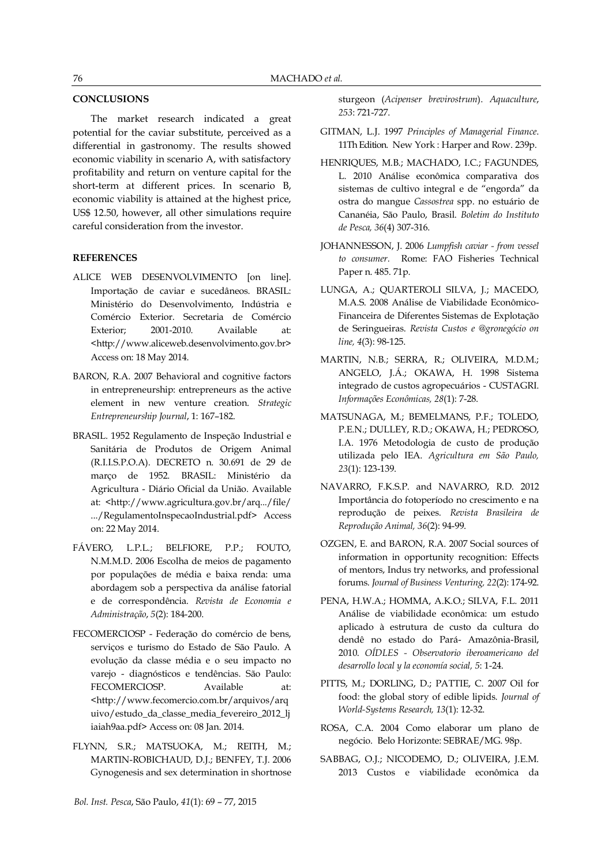## **CONCLUSIONS**

The market research indicated a great potential for the caviar substitute, perceived as a differential in gastronomy. The results showed economic viability in scenario A, with satisfactory profitability and return on venture capital for the short-term at different prices. In scenario B, economic viability is attained at the highest price, US\$ 12.50, however, all other simulations require careful consideration from the investor.

### **REFERENCES**

- ALICE WEB DESENVOLVIMENTO [on line]. Importação de caviar e sucedâneos. BRASIL: Ministério do Desenvolvimento, Indústria e Comércio Exterior. Secretaria de Comércio Exterior: 2001-2010. Available at: <http://www.aliceweb.desenvolvimento.gov.br> Access on: 18 May 2014.
- BARON, R.A. 2007 Behavioral and cognitive factors in entrepreneurship: entrepreneurs as the active element in new venture creation. *Strategic Entrepreneurship Journal*, 1: 167–182.
- BRASIL. 1952 Regulamento de Inspeção Industrial e Sanitária de Produtos de Origem Animal (R.I.I.S.P.O.A). DECRETO n. 30.691 de 29 de março de 1952. BRASIL: Ministério da Agricultura - Diário Oficial da União. Available at: <http://www.agricultura.gov.br/arq.../file/ .../RegulamentoInspecaoIndustrial.pdf> Access on: 22 May 2014.
- FÁVERO, L.P.L.; BELFIORE, P.P.; FOUTO, N.M.M.D. 2006 Escolha de meios de pagamento por populações de média e baixa renda: uma abordagem sob a perspectiva da análise fatorial e de correspondência. *Revista de Economia e Administração*, *5*(2): 184-200.
- FECOMERCIOSP Federação do comércio de bens, serviços e turismo do Estado de São Paulo. A evolução da classe média e o seu impacto no varejo - diagnósticos e tendências. São Paulo: FECOMERCIOSP. Available at: <http://www.fecomercio.com.br/arquivos/arq uivo/estudo\_da\_classe\_media\_fevereiro\_2012\_lj iaiah9aa.pdf> Access on: 08 Jan. 2014.
- FLYNN, S.R.; MATSUOKA, M.; REITH, M.; MARTIN-ROBICHAUD, D.J.; BENFEY, T.J. 2006 Gynogenesis and sex determination in shortnose

sturgeon (*Acipenser brevirostrum*). *Aquaculture*, *253*: 721-727.

- GITMAN, L.J. 1997 *Principles of Managerial Finance*. 11Th Edition. New York : Harper and Row. 239p.
- HENRIQUES, M.B.; MACHADO, I.C.; FAGUNDES, L. 2010 Análise econômica comparativa dos sistemas de cultivo integral e de "engorda" da ostra do mangue *Cassostrea* spp. no estuário de Cananéia, São Paulo, Brasil. *Boletim do Instituto de Pesca, 36*(4) 307-316.
- [JOHANNESSON, J. 2006](file:///C:/Users/Helenice/Downloads/JOHANNESSON%20J.%20%20Lumpfish%20caviar%20-%20from%20vessel%20to%20consumer.%20%20Rome:%20FAO%20Fisheries%20Technical%20Paper%20No.%20485;%202006) *Lumpfish caviar - from vessel to consumer.* [Rome: FAO Fisheries Technical](file:///C:/Users/Helenice/Downloads/JOHANNESSON%20J.%20%20Lumpfish%20caviar%20-%20from%20vessel%20to%20consumer.%20%20Rome:%20FAO%20Fisheries%20Technical%20Paper%20No.%20485;%202006)  [Paper n. 485.](file:///C:/Users/Helenice/Downloads/JOHANNESSON%20J.%20%20Lumpfish%20caviar%20-%20from%20vessel%20to%20consumer.%20%20Rome:%20FAO%20Fisheries%20Technical%20Paper%20No.%20485;%202006) 71p.
- LUNGA, A.; QUARTEROLI SILVA, J.; MACEDO, M.A.S. 2008 Análise de Viabilidade Econômico-Financeira de Diferentes Sistemas de Explotação de Seringueiras. *Revista Custos e @gronegócio on line, 4*(3): 98-125.
- MARTIN, N.B.; SERRA, R.; OLIVEIRA, M.D.M.; ANGELO, J.Á.; OKAWA, H. 1998 Sistema integrado de custos agropecuários - CUSTAGRI. *Informações Econômicas, 28*(1): 7-28.
- MATSUNAGA, M.; BEMELMANS, P.F.; TOLEDO, P.E.N.; DULLEY, R.D.; OKAWA, H.; PEDROSO, I.A. 1976 Metodologia de custo de produção utilizada pelo IEA. *Agricultura em São Paulo, 23*(1): 123-139.
- NAVARRO, F.K.S.P. and NAVARRO, R.D. 2012 Importância do fotoperíodo no crescimento e na reprodução de peixes. *Revista Brasileira de Reprodução Animal, 36*(2): 94-99.
- OZGEN, E. and BARON, R.A. 2007 Social sources of information in opportunity recognition: Effects of mentors, Indus try networks, and professional forums. *Journal of Business Venturing, 22*(2): 174-92.
- PENA, H.W.A.; HOMMA, A.K.O.; SILVA, F.L. 2011 Análise de viabilidade econômica: um estudo aplicado à estrutura de custo da cultura do dendê no estado do Pará- Amazônia-Brasil, 2010. *OÍDLES - Observatorio iberoamericano del desarrollo local y la economía social, 5*: 1-24.
- PITTS, M.; DORLING, D.; PATTIE, C. 2007 Oil for food: the global story of edible lipids. *Journal of World-Systems Research, 13*(1): 12-32.
- ROSA, C.A. 2004 Como elaborar um plano de negócio. Belo Horizonte: SEBRAE/MG. 98p.
- SABBAG, O.J.; NICODEMO, D.; OLIVEIRA, J.E.M. 2013 Custos e viabilidade econômica da